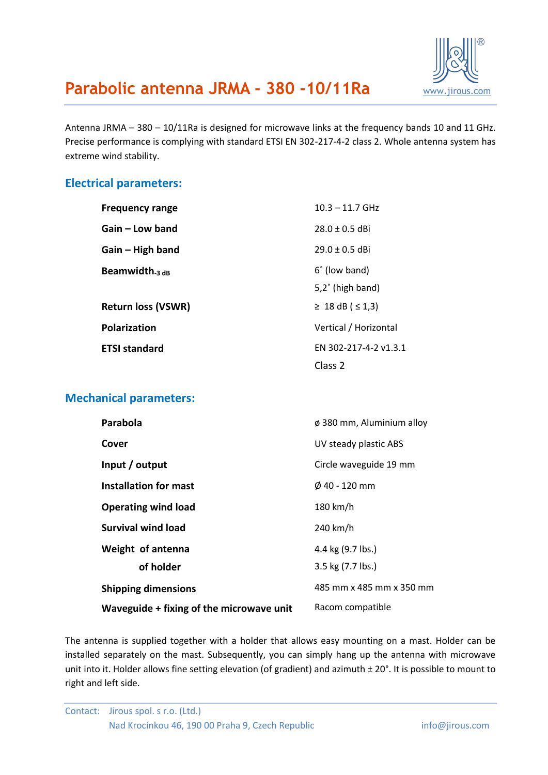

## **Parabolic antenna JRMA - 380 -10/11Ra** www.jirous.com

Antenna JRMA – 380 – 10/11Ra is designed for microwave links at the frequency bands 10 and 11 GHz. Precise performance is complying with standard ETSI EN 302-217-4-2 class 2. Whole antenna system has extreme wind stability.

#### **Electrical parameters:**

| <b>Frequency range</b>    | $10.3 - 11.7$ GHz       |
|---------------------------|-------------------------|
| Gain – Low band           | $28.0 \pm 0.5$ dBi      |
| Gain - High band          | $29.0 \pm 0.5$ dBi      |
| Beamwidth $_3$ $_{dB}$    | 6° (low band)           |
|                           | $5,2^\circ$ (high band) |
| <b>Return loss (VSWR)</b> | ≥ 18 dB ( $\le$ 1,3)    |
| Polarization              | Vertical / Horizontal   |
| <b>ETSI standard</b>      | EN 302-217-4-2 v1.3.1   |
|                           | Class <sub>2</sub>      |

#### **Mechanical parameters:**

| Parabola                                 | $\phi$ 380 mm, Aluminium alloy |
|------------------------------------------|--------------------------------|
| Cover                                    | UV steady plastic ABS          |
| Input / output                           | Circle waveguide 19 mm         |
| <b>Installation for mast</b>             | $\phi$ 40 - 120 mm             |
| <b>Operating wind load</b>               | 180 km/h                       |
| Survival wind load                       | 240 km/h                       |
| Weight of antenna                        | 4.4 kg (9.7 lbs.)              |
| of holder                                | 3.5 kg (7.7 lbs.)              |
| <b>Shipping dimensions</b>               | 485 mm x 485 mm x 350 mm       |
| Waveguide + fixing of the microwave unit | Racom compatible               |

The antenna is supplied together with a holder that allows easy mounting on a mast. Holder can be installed separately on the mast. Subsequently, you can simply hang up the antenna with microwave unit into it. Holder allows fine setting elevation (of gradient) and azimuth ± 20°. It is possible to mount to right and left side.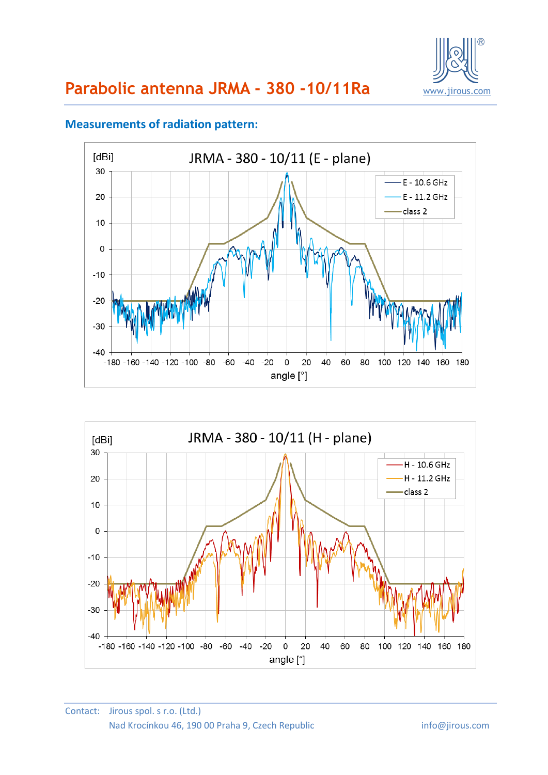



### **Measurements of radiation pattern:**